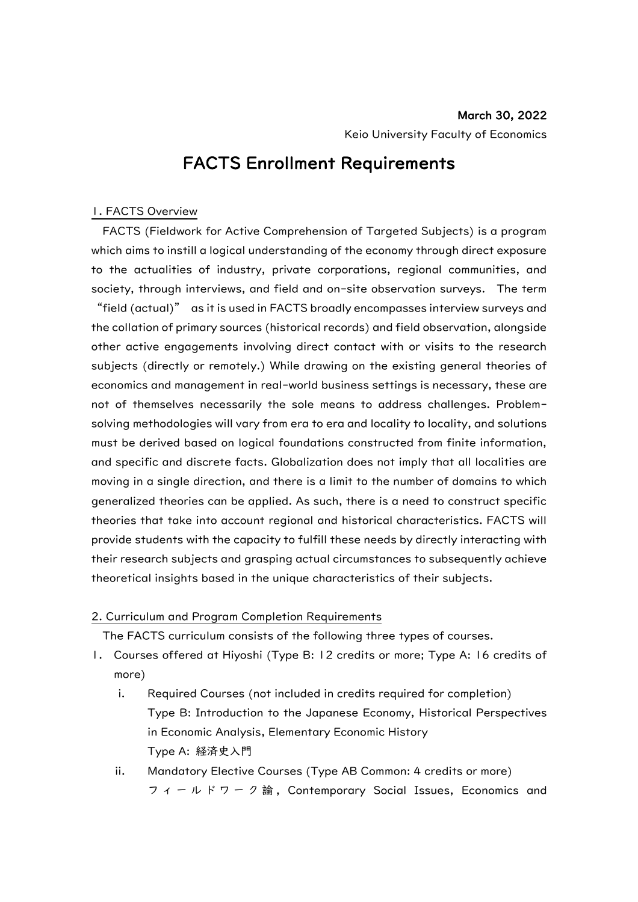## FACTS Enrollment Requirements

## 1. FACTS Overview

FACTS (Fieldwork for Active Comprehension of Targeted Subjects) is a program which aims to instill a logical understanding of the economy through direct exposure to the actualities of industry, private corporations, regional communities, and society, through interviews, and field and on-site observation surveys. The term "field (actual)" as it is used in FACTS broadly encompasses interview surveys and the collation of primary sources (historical records) and field observation, alongside other active engagements involving direct contact with or visits to the research subjects (directly or remotely.) While drawing on the existing general theories of economics and management in real-world business settings is necessary, these are not of themselves necessarily the sole means to address challenges. Problemsolving methodologies will vary from era to era and locality to locality, and solutions must be derived based on logical foundations constructed from finite information, and specific and discrete facts. Globalization does not imply that all localities are moving in a single direction, and there is a limit to the number of domains to which generalized theories can be applied. As such, there is a need to construct specific theories that take into account regional and historical characteristics. FACTS will provide students with the capacity to fulfill these needs by directly interacting with their research subjects and grasping actual circumstances to subsequently achieve theoretical insights based in the unique characteristics of their subjects.

## 2. Curriculum and Program Completion Requirements

The FACTS curriculum consists of the following three types of courses.

- 1. Courses offered at Hiyoshi (Type B: 12 credits or more; Type A: 16 credits of more)
	- i. Required Courses (not included in credits required for completion) Type B: Introduction to the Japanese Economy, Historical Perspectives in Economic Analysis, Elementary Economic History Type A: 経済史入門
	- ii. Mandatory Elective Courses (Type AB Common: 4 credits or more) フィールドワーク論 , Contemporary Social Issues, Economics and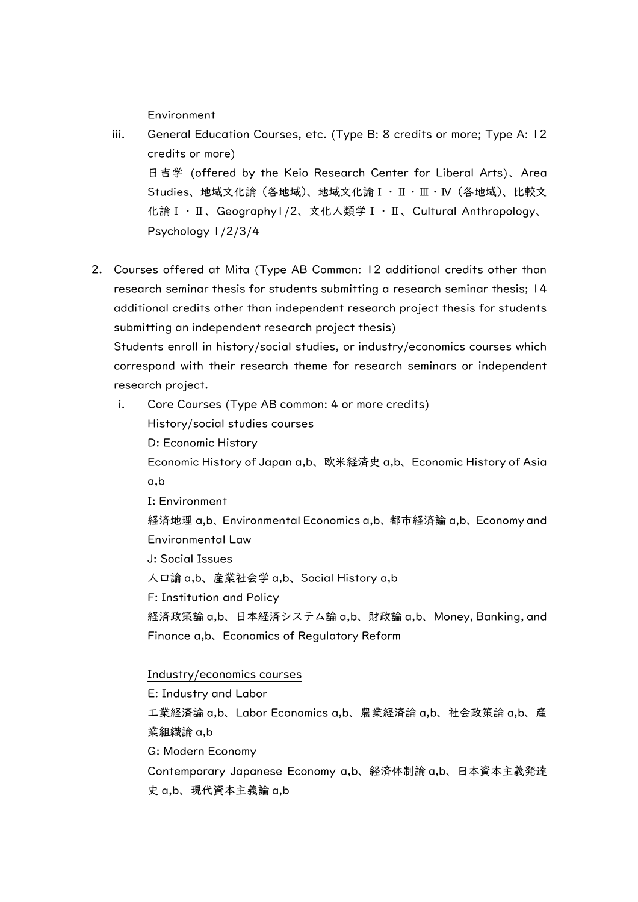**Environment** 

- iii. General Education Courses, etc. (Type B: 8 credits or more; Type A: 12 credits or more) 日吉学 (offered by the Keio Research Center for Liberal Arts)、Area Studies、地域文化論(各地域)、地域文化論Ⅰ・Ⅱ・Ⅲ・Ⅳ(各地域)、比較文 化論Ⅰ・Ⅱ、Geography1/2、文化人類学Ⅰ・Ⅱ、Cultural Anthropology、 Psychology 1/2/3/4
- 2. Courses offered at Mita (Type AB Common: 12 additional credits other than research seminar thesis for students submitting a research seminar thesis; 14 additional credits other than independent research project thesis for students submitting an independent research project thesis)

Students enroll in history/social studies, or industry/economics courses which correspond with their research theme for research seminars or independent research project.

i. Core Courses (Type AB common: 4 or more credits)

History/social studies courses

D: Economic History

Economic History of Japan a,b、欧米経済史 a,b、Economic History of Asia a,b

I: Environment

経済地理 a,b、Environmental Economics a,b、都市経済論 a,b、Economy and Environmental Law

J: Social Issues

人口論 a,b、産業社会学 a,b、Social History a,b

F: Institution and Policy

経済政策論 a,b、日本経済システム論 a,b、財政論 a,b、Money, Banking, and Finance a,b、Economics of Regulatory Reform

## Industry/economics courses

E: Industry and Labor

工業経済論 a,b、Labor Economics a,b、農業経済論 a,b、社会政策論 a,b、産 業組織論 a,b

G: Modern Economy

Contemporary Japanese Economy a,b、経済体制論 a,b、日本資本主義発達 史 a,b、現代資本主義論 a,b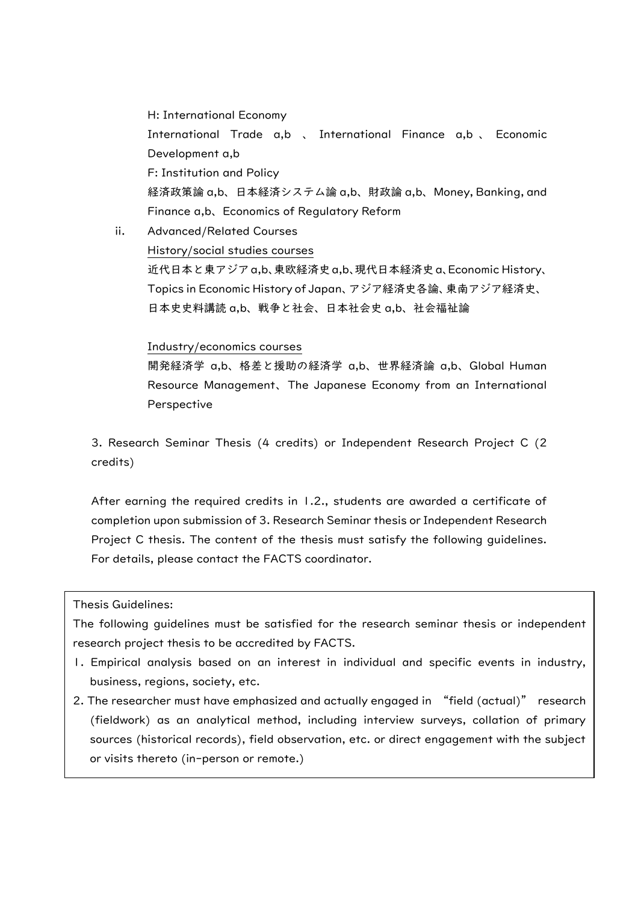H: International Economy International Trade a,b 、 International Finance a,b 、 Economic Development a,b F: Institution and Policy 経済政策論 a,b、日本経済システム論 a,b、財政論 a,b、Money, Banking, and Finance a,b、Economics of Regulatory Reform

ii. Advanced/Related Courses History/social studies courses 近代日本と東アジアa,b、東欧経済史a,b、現代日本経済史a、Economic History、 Topics in Economic History of Japan、アジア経済史各論、東南アジア経済史、 日本史史料講読 a,b、戦争と社会、日本社会史 a,b、社会福祉論

### Industry/economics courses

開発経済学 a,b、格差と援助の経済学 a,b、世界経済論 a,b、Global Human Resource Management、The Japanese Economy from an International Perspective

3. Research Seminar Thesis (4 credits) or Independent Research Project C (2 credits)

After earning the required credits in 1.2., students are awarded a certificate of completion upon submission of 3. Research Seminar thesis or Independent Research Project C thesis. The content of the thesis must satisfy the following guidelines. For details, please contact the FACTS coordinator.

Thesis Guidelines:

The following guidelines must be satisfied for the research seminar thesis or independent research project thesis to be accredited by FACTS.

- 1. Empirical analysis based on an interest in individual and specific events in industry, business, regions, society, etc.
- 2. The researcher must have emphasized and actually engaged in "field (actual)" research (fieldwork) as an analytical method, including interview surveys, collation of primary sources (historical records), field observation, etc. or direct engagement with the subject or visits thereto (in-person or remote.)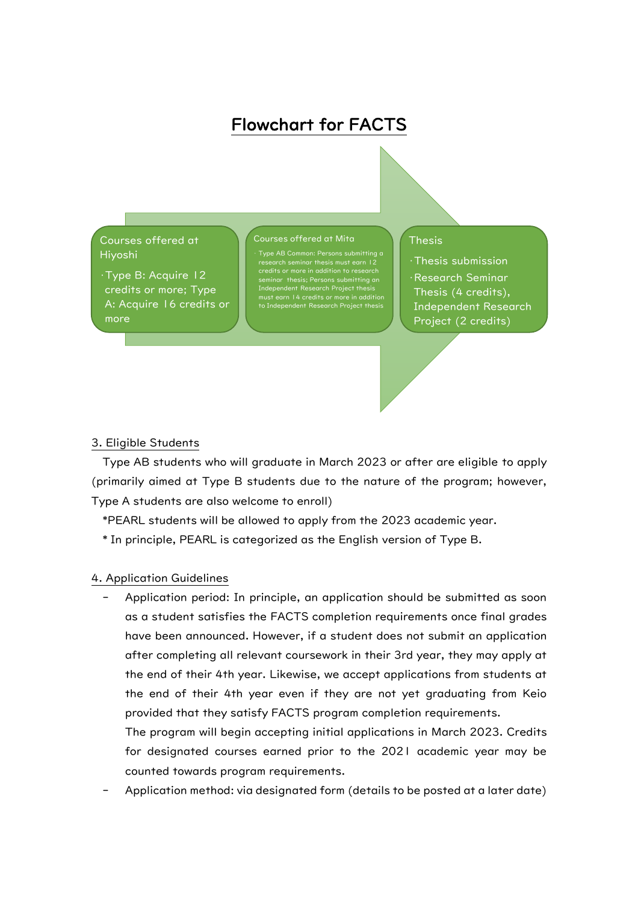# Flowchart for FACTS

Courses offered at Hiyoshi

•Type B: Acquire 12 credits or more; Type A: Acquire 16 credits or more

#### Courses offered at Mita

research seminar thesis must earn 12 credits or more in addition to research seminar thesis; Persons submitting an Independent Research Project thesis must earn 14 credits or more in addition ependent Research Project the

#### Thesis

•Thesis submission •Research Seminar Thesis (4 credits), Independent Research Project (2 credits)

### 3. Eligible Students

Type AB students who will graduate in March 2023 or after are eligible to apply (primarily aimed at Type B students due to the nature of the program; however, Type A students are also welcome to enroll)

\*PEARL students will be allowed to apply from the 2023 academic year.

\* In principle, PEARL is categorized as the English version of Type B.

#### 4. Application Guidelines

Application period: In principle, an application should be submitted as soon as a student satisfies the FACTS completion requirements once final grades have been announced. However, if a student does not submit an application after completing all relevant coursework in their 3rd year, they may apply at the end of their 4th year. Likewise, we accept applications from students at the end of their 4th year even if they are not yet graduating from Keio provided that they satisfy FACTS program completion requirements.

The program will begin accepting initial applications in March 2023. Credits for designated courses earned prior to the 2021 academic year may be counted towards program requirements.

Application method: via designated form (details to be posted at a later date)